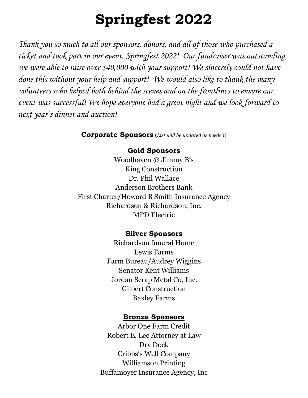# **Springfest 2022**

*Thank you so much to all our sponsors, donors, and all of those who purchased a ticket and took part in our event, Springfest 2022! Our fundraiser was outstanding, we were able to raise over \$40,000 with your support! We sincerely could not have done this without your help and support! We would also like to thank the many volunteers who helped both behind the scenes and on the frontlines to ensure our event was successful! We hope everyone had a great night and we look forward to next year's dinner and auction!*

**Corporate Sponsors** (*List will be updated as needed*)

#### **Gold Sponsors**

Woodhaven @ Jimmy B's King Construction Dr. Phil Wallace Anderson Brothers Bank First Charter/Howard B Smith Insurance Agency Richardson & Richardson, Inc. MPD Electric

## **Silver Sponsors**

Richardson funeral Home Lewis Farms Farm Bureau/Audrey Wiggins Senator Kent Williams Jordan Scrap Metal Co, Inc. Gilbert Construction Baxley Farms

## **Bronze Sponsors**

Arbor One Farm Credit Robert E. Lee Attorney at Law Dry Dock Cribbs's Well Company Williamson Printing Buffamoyer Insurance Agency, Inc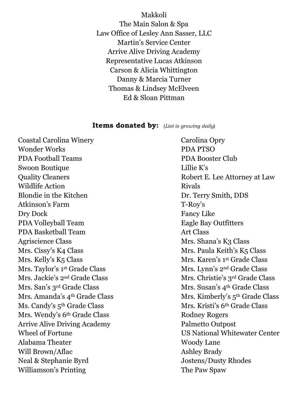Makkoli The Main Salon & Spa Law Office of Lesley Ann Sasser, LLC Martin's Service Center Arrive Alive Driving Academy Representative Lucas Atkinson Carson & Alicia Whittington Danny & Marcia Turner Thomas & Lindsey McElveen Ed & Sloan Pittman

#### **Items donated by:** (*List is growing daily*)

Coastal Carolina Winery Carolina Opry Wonder Works PDA PTSO PDA Football Teams PDA Booster Club Swoon Boutique Lillie K's Quality Cleaners **Robert E.** Lee Attorney at Law Wildlife Action **Rivals** Blondie in the Kitchen Dr. Terry Smith, DDS Atkinson's Farm T-Roy's Dry Dock Fancy Like PDA Volleyball Team Eagle Bay Outfitters PDA Basketball Team Art Class Agriscience Class Mrs. Shana's K3 Class Mrs. Cissy's K4 Class Mrs. Paula Keith's K5 Class Mrs. Kelly's K5 Class Mrs. Karen's 1<sup>st</sup> Grade Class Mrs. Taylor's 1<sup>st</sup> Grade Class Mrs. Lynn's 2<sup>nd</sup> Grade Class Mrs. Jackie's 2<sup>nd</sup> Grade Class Mrs. Christie's 3<sup>rd</sup> Grade Class Mrs. San's 3<sup>rd</sup> Grade Class Mrs. Susan's 4<sup>th</sup> Grade Class Ms. Candy's 5<sup>th</sup> Grade Class Mrs. Kristi's 6<sup>th</sup> Grade Class Mrs. Wendy's 6<sup>th</sup> Grade Class Rodney Rogers Arrive Alive Driving Academy Palmetto Outpost Alabama Theater Woody Lane Will Brown/Aflac Ashley Brady Neal & Stephanie Byrd Jostens/Dusty Rhodes Williamson's Printing The Paw Spaw

Mrs. Amanda's 4<sup>th</sup> Grade Class Mrs. Kimberly's 5<sup>th</sup> Grade Class Wheel of Fortune US National Whitewater Center